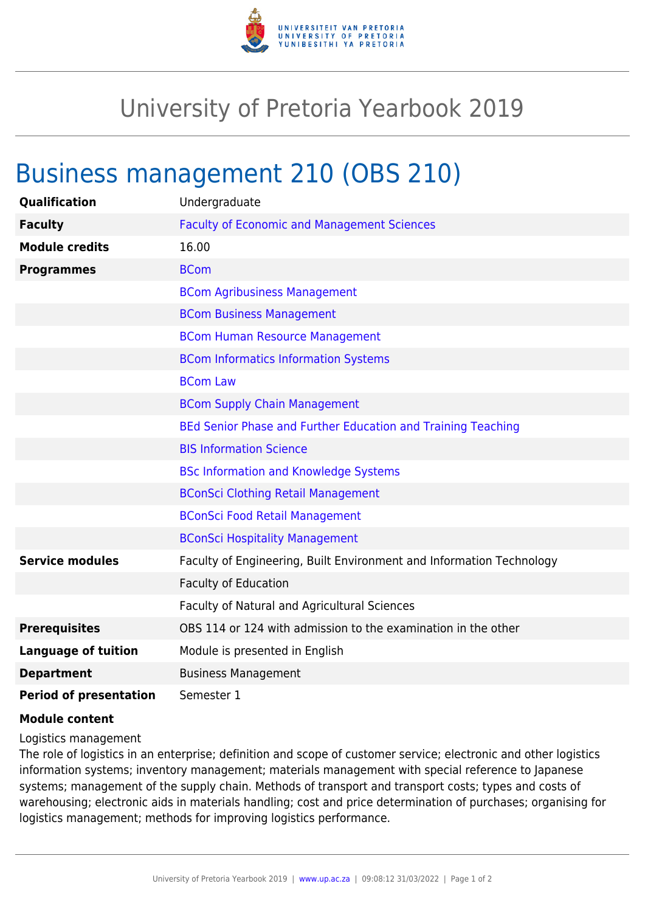

## University of Pretoria Yearbook 2019

## Business management 210 (OBS 210)

| Qualification                 | Undergraduate                                                        |
|-------------------------------|----------------------------------------------------------------------|
| <b>Faculty</b>                | <b>Faculty of Economic and Management Sciences</b>                   |
| <b>Module credits</b>         | 16.00                                                                |
| <b>Programmes</b>             | <b>BCom</b>                                                          |
|                               | <b>BCom Agribusiness Management</b>                                  |
|                               | <b>BCom Business Management</b>                                      |
|                               | <b>BCom Human Resource Management</b>                                |
|                               | <b>BCom Informatics Information Systems</b>                          |
|                               | <b>BCom Law</b>                                                      |
|                               | <b>BCom Supply Chain Management</b>                                  |
|                               | BEd Senior Phase and Further Education and Training Teaching         |
|                               | <b>BIS Information Science</b>                                       |
|                               | <b>BSc Information and Knowledge Systems</b>                         |
|                               | <b>BConSci Clothing Retail Management</b>                            |
|                               | <b>BConSci Food Retail Management</b>                                |
|                               | <b>BConSci Hospitality Management</b>                                |
| <b>Service modules</b>        | Faculty of Engineering, Built Environment and Information Technology |
|                               | <b>Faculty of Education</b>                                          |
|                               | Faculty of Natural and Agricultural Sciences                         |
| <b>Prerequisites</b>          | OBS 114 or 124 with admission to the examination in the other        |
| <b>Language of tuition</b>    | Module is presented in English                                       |
| <b>Department</b>             | <b>Business Management</b>                                           |
| <b>Period of presentation</b> | Semester 1                                                           |

## **Module content**

Logistics management

The role of logistics in an enterprise; definition and scope of customer service; electronic and other logistics information systems; inventory management; materials management with special reference to Japanese systems; management of the supply chain. Methods of transport and transport costs; types and costs of warehousing; electronic aids in materials handling; cost and price determination of purchases; organising for logistics management; methods for improving logistics performance.